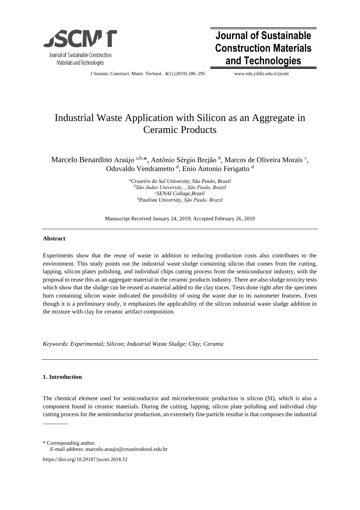

# **Journal of Sustainable Construction Materials and Technologies**

J Sustain. Construct. Mater. Technol. 4(1) (2019) 286–295 [www.e](http://www./)ds.yildiz.edu.tr/jscmt

# Industrial Waste Application with Silicon as an Aggregate in Ceramic Products

Marcelo Benardino Araújo a,b,\*, Antônio Sérgio Brejão <sup>b</sup>, Marcos de Oliveira Morais <sup>c</sup>, Oduvaldo Vendrametto<sup>d</sup>, Enio Antonio Ferigatto<sup>d</sup>

> *<sup>a</sup>Cruzeiro do Sul University,* São *Paulo, Brazil <sup>b</sup>São Judas University,* , *São Paulo, Brazil <sup>c</sup>SENAI Collage,Brazil <sup>d</sup>Paulista University, São Paulo, Brazil*

Manuscript Received January 24, 2019; Accepted February 26, 2019

## **Abstract**

Experiments show that the reuse of waste in addition to reducing production costs also contributes to the environment. This study points out the industrial waste sludge containing silicon that comes from the cutting, lapping, silicon plates polishing, and individual chips cutting process from the semiconductor industry, with the proposal to reuse this as an aggregate material in the ceramic products industry. There are also sludge toxicity tests which show that the sludge can be reused as material added to the clay traces. Tests done right after the specimen burn containing silicon waste indicated the possibility of using the waste due to its nanometer features. Even though it is a preliminary study, it emphasizes the applicability of the silicon industrial waste sludge addition in the mixture with clay for ceramic artifact composition.

*Keywords: Experimental; Silicon; Industrial Waste Sludge; Clay; Ceramic* 

# **1. Introduction**

The chemical element used for semiconductor and microelectronic production is silicon (SI), which is also a component found in ceramic materials. During the cutting, lapping, silicon plate polishing and individual chip cutting process for the semiconductor production, an extremely fine particle residue is that composes the industrial

\* Corresponding author.

https://doi.org/10.29187/jscmt.2018.32

*E-*mail address: marcelo.araujo@cruzeirodosul.edu.br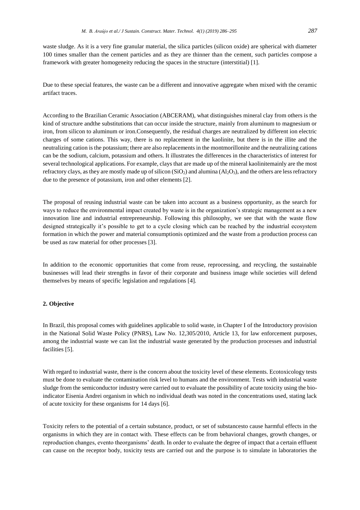waste sludge. As it is a very fine granular material, the silica particles (silicon oxide) are spherical with diameter 100 times smaller than the cement particles and as they are thinner than the cement, such particles compose a framework with greater homogeneity reducing the spaces in the structure (interstitial) [1].

Due to these special features, the waste can be a different and innovative aggregate when mixed with the ceramic artifact traces.

According to the Brazilian Ceramic Association (ABCERAM), what distinguishes mineral clay from others is the kind of structure andthe substitutions that can occur inside the structure, mainly from aluminum to magnesium or iron, from silicon to aluminum or iron.Consequently, the residual charges are neutralized by different ion electric charges of some cations. This way, there is no replacement in the kaolinite, but there is in the illite and the neutralizing cation is the potassium; there are also replacements in the montmorillonite and the neutralizing cations can be the sodium, calcium, potassium and others. It illustrates the differences in the characteristics of interest for several technological applications. For example, clays that are made up of the mineral kaolinitemainly are the most refractory clays, as they are mostly made up of silicon  $(SiO<sub>2</sub>)$  and alumina  $(A<sub>2</sub>O<sub>3</sub>)$ , and the others are less refractory due to the presence of potassium, iron and other elements [2].

The proposal of reusing industrial waste can be taken into account as a business opportunity, as the search for ways to reduce the environmental impact created by waste is in the organization's strategic management as a new innovation line and industrial entrepreneurship. Following this philosophy, we see that with the waste flow designed strategically it's possible to get to a cycle closing which can be reached by the industrial ecosystem formation in which the power and material consumptionis optimized and the waste from a production process can be used as raw material for other processes [3].

In addition to the economic opportunities that come from reuse, reprocessing, and recycling, the sustainable businesses will lead their strengths in favor of their corporate and business image while societies will defend themselves by means of specific legislation and regulations [4].

## **2. Objective**

In Brazil, this proposal comes with guidelines applicable to solid waste, in Chapter I of the Introductory provision in the National Solid Waste Policy (PNRS), Law No. 12,305/2010, Article 13, for law enforcement purposes, among the industrial waste we can list the industrial waste generated by the production processes and industrial facilities [5].

With regard to industrial waste, there is the concern about the toxicity level of these elements. Ecotoxicology tests must be done to evaluate the contamination risk level to humans and the environment. Tests with industrial waste sludge from the semiconductor industry were carried out to evaluate the possibility of acute toxicity using the bioindicator Eisenia Andrei organism in which no individual death was noted in the concentrations used, stating lack of acute toxicity for these organisms for 14 days [6].

Toxicity refers to the potential of a certain substance, product, or set of substancesto cause harmful effects in the organisms in which they are in contact with. These effects can be from behavioral changes, growth changes, or reproduction changes, evento theorganisms' death. In order to evaluate the degree of impact that a certain effluent can cause on the receptor body, toxicity tests are carried out and the purpose is to simulate in laboratories the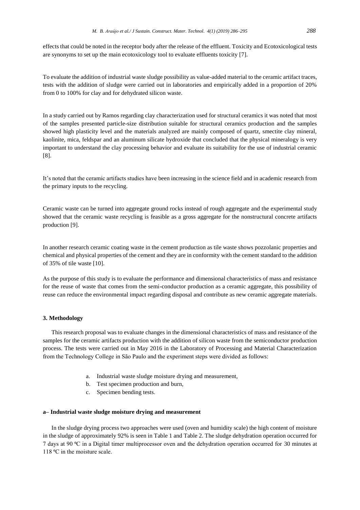effects that could be noted in the receptor body after the release of the effluent. Toxicity and Ecotoxicological tests are synonyms to set up the main ecotoxicology tool to evaluate effluents toxicity [7].

To evaluate the addition of industrial waste sludge possibility as value-added material to the ceramic artifact traces, tests with the addition of sludge were carried out in laboratories and empirically added in a proportion of 20% from 0 to 100% for clay and for dehydrated silicon waste.

In a study carried out by Ramos regarding clay characterization used for structural ceramics it was noted that most of the samples presented particle-size distribution suitable for structural ceramics production and the samples showed high plasticity level and the materials analyzed are mainly composed of quartz, smectite clay mineral, kaolinite, mica, feldspar and an aluminum silicate hydroxide that concluded that the physical mineralogy is very important to understand the clay processing behavior and evaluate its suitability for the use of industrial ceramic [8].

It's noted that the ceramic artifacts studies have been increasing in the science field and in academic research from the primary inputs to the recycling.

Ceramic waste can be turned into aggregate ground rocks instead of rough aggregate and the experimental study showed that the ceramic waste recycling is feasible as a gross aggregate for the nonstructural concrete artifacts production [9].

In another research ceramic coating waste in the cement production as tile waste shows pozzolanic properties and chemical and physical properties of the cement and they are in conformity with the cement standard to the addition of 35% of tile waste [10].

As the purpose of this study is to evaluate the performance and dimensional characteristics of mass and resistance for the reuse of waste that comes from the semi-conductor production as a ceramic aggregate, this possibility of reuse can reduce the environmental impact regarding disposal and contribute as new ceramic aggregate materials.

## **3. Methodology**

This research proposal was to evaluate changes in the dimensional characteristics of mass and resistance of the samples for the ceramic artifacts production with the addition of silicon waste from the semiconductor production process. The tests were carried out in May 2016 in the Laboratory of Processing and Material Characterization from the Technology College in São Paulo and the experiment steps were divided as follows:

- a. Industrial waste sludge moisture drying and measurement,
- b. Test specimen production and burn,
- c. Specimen bending tests.

### **a– Industrial waste sludge moisture drying and measurement**

In the sludge drying process two approaches were used (oven and humidity scale) the high content of moisture in the sludge of approximately 92% is seen in Table 1 and Table 2. The sludge dehydration operation occurred for 7 days at 90 ⁰C in a Digital timer multiprocessor oven and the dehydration operation occurred for 30 minutes at 118 °C in the moisture scale.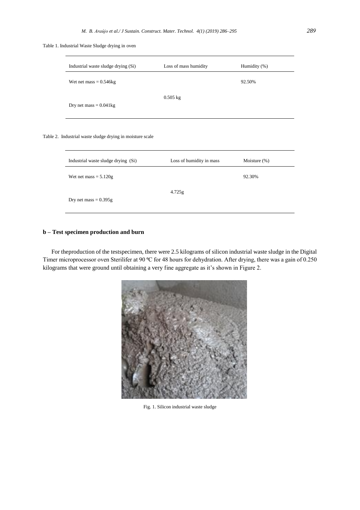Table 1. Industrial Waste Sludge drying in oven

| Industrial waste sludge drying (Si) | Loss of mass humidity | Humidity (%) |
|-------------------------------------|-----------------------|--------------|
| Wet net mass $= 0.546$ kg           |                       | 92.50%       |
| Dry net mass $= 0.041$ kg           | $0.505$ kg            |              |

Table 2. Industrial waste sludge drying in moisture scale

| Industrial waste sludge drying (Si) | Loss of humidity in mass | Moisture $(\%)$ |
|-------------------------------------|--------------------------|-----------------|
| Wet net mass $= 5.120g$             |                          | 92.30%          |
| Dry net mass = $0.395g$             | 4.725g                   |                 |

# **b – Test specimen production and burn**

For theproduction of the testspecimen, there were 2.5 kilograms of silicon industrial waste sludge in the Digital Timer microprocessor oven Sterilifer at 90 °C for 48 hours for dehydration. After drying, there was a gain of 0.250 kilograms that were ground until obtaining a very fine aggregate as it's shown in Figure 2.



Fig. 1. Silicon industrial waste sludge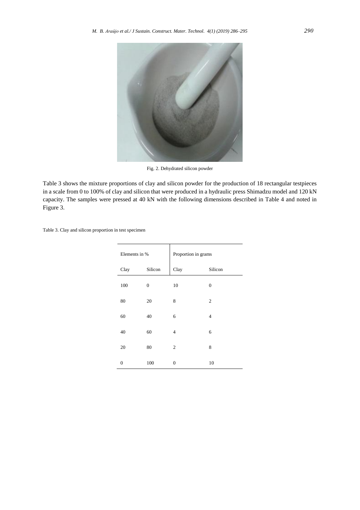

Fig. 2. Dehydrated silicon powder

Table 3 shows the mixture proportions of clay and silicon powder for the production of 18 rectangular testpieces in a scale from 0 to 100% of clay and silicon that were produced in a hydraulic press Shimadzu model and 120 kN capacity. The samples were pressed at 40 kN with the following dimensions described in Table 4 and noted in Figure 3.

Table 3. Clay and silicon proportion in test specimen

| Elements in %  |              | Proportion in grams |                |  |  |
|----------------|--------------|---------------------|----------------|--|--|
| Clay           | Silicon      | Clay                | Silicon        |  |  |
| 100            | $\mathbf{0}$ | 10                  | $\Omega$       |  |  |
| 80             | 20           | 8                   | $\overline{2}$ |  |  |
| 60             | 40           | 6                   | $\overline{4}$ |  |  |
| 40             | 60           | 4                   | 6              |  |  |
| 20             | 80           | $\mathfrak{2}$      | 8              |  |  |
| $\overline{0}$ | 100          | 0                   | 10             |  |  |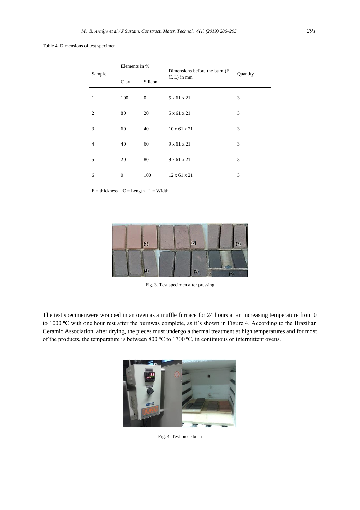### Table 4. Dimensions of test specimen

|                | Elements in %    |                  | Dimensions before the burn (E, | Quantity |  |
|----------------|------------------|------------------|--------------------------------|----------|--|
| Sample         | Clay             | Silicon          | $C, L$ ) in mm                 |          |  |
| 1              | 100              | $\boldsymbol{0}$ | 5 x 61 x 21                    | 3        |  |
| $\overline{2}$ | 80               | 20               | 5 x 61 x 21                    | 3        |  |
| 3              | 60               | 40               | 10 x 61 x 21                   | 3        |  |
| $\overline{4}$ | 40               | 60               | 9 x 61 x 21                    | 3        |  |
| 5              | 20               | 80               | 9 x 61 x 21                    | 3        |  |
| 6              | $\boldsymbol{0}$ | 100              | 12 x 61 x 21                   | 3        |  |
|                |                  |                  |                                |          |  |

 $E =$  thickness  $C =$  Length  $L =$  Width



Fig. 3. Test specimen after pressing

The test specimenwere wrapped in an oven as a muffle furnace for 24 hours at an increasing temperature from 0 to 1000 °C with one hour rest after the burnwas complete, as it's shown in Figure 4. According to the Brazilian Ceramic Association, after drying, the pieces must undergo a thermal treatment at high temperatures and for most of the products, the temperature is between 800 °C to 1700 °C, in continuous or intermittent ovens.



Fig. 4. Test piece burn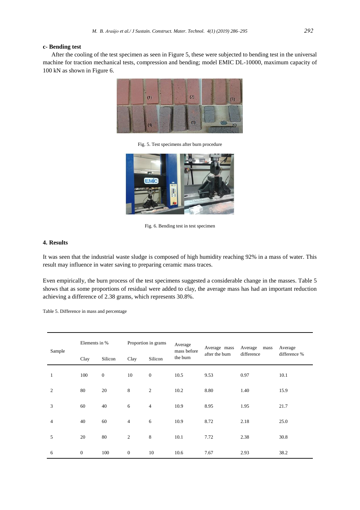## **c- Bending test**

After the cooling of the test specimen as seen in Figure 5, these were subjected to bending test in the universal machine for traction mechanical tests, compression and bending; model EMIC DL-10000, maximum capacity of 100 kN as shown in Figure 6.



Fig. 5. Test specimens after burn procedure



Fig. 6. Bending test in test specimen

# **4. Results**

It was seen that the industrial waste sludge is composed of high humidity reaching 92% in a mass of water. This result may influence in water saving to preparing ceramic mass traces.

Even empirically, the burn process of the test specimens suggested a considerable change in the masses. Table 5 shows that as some proportions of residual were added to clay, the average mass has had an important reduction achieving a difference of 2.38 grams, which represents 30.8%.

Table 5. Difference in mass and percentage

| Elements in %  |              | Proportion in grams |                | Average        | Average mass            | Average<br>mass | Average    |              |
|----------------|--------------|---------------------|----------------|----------------|-------------------------|-----------------|------------|--------------|
| Sample         | Clay         | Silicon             | Clay           | Silicon        | mass before<br>the burn | after the burn  | difference | difference % |
| $\mathbf{1}$   | 100          | $\mathbf{0}$        | 10             | $\mathbf{0}$   | 10.5                    | 9.53            | 0.97       | 10.1         |
| 2              | 80           | 20                  | 8              | $\overline{c}$ | 10.2                    | 8.80            | 1.40       | 15.9         |
| 3              | 60           | 40                  | 6              | $\overline{4}$ | 10.9                    | 8.95            | 1.95       | 21.7         |
| $\overline{4}$ | 40           | 60                  | $\overline{4}$ | 6              | 10.9                    | 8.72            | 2.18       | 25.0         |
| 5              | 20           | 80                  | 2              | 8              | 10.1                    | 7.72            | 2.38       | 30.8         |
| 6              | $\mathbf{0}$ | 100                 | $\mathbf{0}$   | 10             | 10.6                    | 7.67            | 2.93       | 38.2         |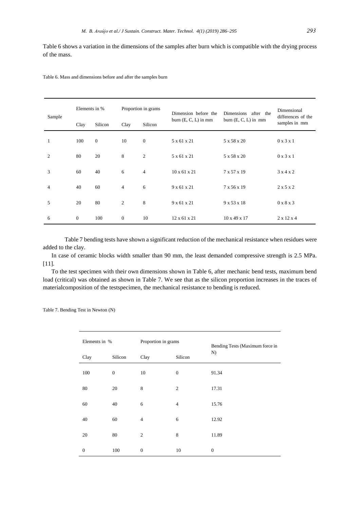Table 6 shows a variation in the dimensions of the samples after burn which is compatible with the drying process of the mass.

| Sample | Elements in % |              |                | Proportion in grams | Dimension before the<br>burn $(E, C, L)$ in mm | Dimensions after the     | Dimensional<br>differences of the |  |
|--------|---------------|--------------|----------------|---------------------|------------------------------------------------|--------------------------|-----------------------------------|--|
|        | Clay          | Silicon      | Clay           | Silicon             |                                                | burn $(E, C, L)$ in mm   | samples in mm                     |  |
| 1      | 100           | $\mathbf{0}$ | 10             | $\boldsymbol{0}$    | 5 x 61 x 21                                    | 5 x 58 x 20              | $0 \times 3 \times 1$             |  |
| 2      | 80            | 20           | 8              | 2                   | 5 x 61 x 21                                    | 5 x 58 x 20              | $0 \times 3 \times 1$             |  |
| 3      | 60            | 40           | 6              | $\overline{4}$      | $10 \times 61 \times 21$                       | 7 x 57 x 19              | 3x4x2                             |  |
| 4      | 40            | 60           | $\overline{4}$ | 6                   | 9 x 61 x 21                                    | 7 x 56 x 19              | $2 \times 5 \times 2$             |  |
| 5      | 20            | 80           | 2              | 8                   | 9 x 61 x 21                                    | 9 x 53 x 18              | $0 \times 8 \times 3$             |  |
| 6      | $\mathbf{0}$  | 100          | $\theta$       | 10                  | $12 \times 61 \times 21$                       | $10 \times 49 \times 17$ | $2 \times 12 \times 4$            |  |

Table 6. Mass and dimensions before and after the samples burn

Table 7 bending tests have shown a significant reduction of the mechanical resistance when residues were added to the clay.

In case of ceramic blocks width smaller than 90 mm, the least demanded compressive strength is 2.5 MPa. [11].

To the test specimen with their own dimensions shown in Table 6, after mechanic bend tests, maximum bend load (critical) was obtained as shown in Table 7. We see that as the silicon proportion increases in the traces of materialcomposition of the testspecimen, the mechanical resistance to bending is reduced.

Table 7. Bending Test in Newton (N)

| Elements in % |                  | Proportion in grams |                  | Bending Tests (Maximum force in |  |
|---------------|------------------|---------------------|------------------|---------------------------------|--|
| Clay          | Silicon          | Silicon<br>Clay     |                  | N)                              |  |
| 100           | $\boldsymbol{0}$ | 10                  | $\boldsymbol{0}$ | 91.34                           |  |
| 80            | 20               | 8                   | $\mathfrak{2}$   | 17.31                           |  |
| 60            | 40               | 6                   | $\overline{4}$   | 15.76                           |  |
| 40            | 60               | $\overline{4}$      | 6                | 12.92                           |  |
| 20            | 80               | $\overline{2}$      | 8                | 11.89                           |  |
| $\mathbf{0}$  | 100              | $\boldsymbol{0}$    | 10               | $\mathbf{0}$                    |  |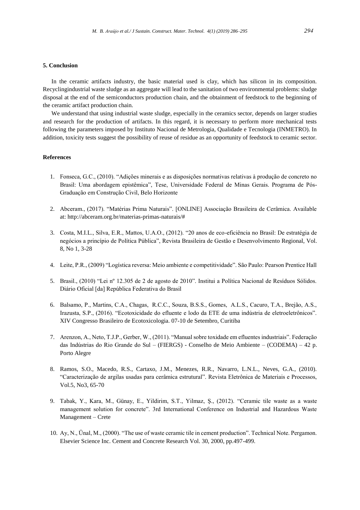## **5. Conclusion**

In the ceramic artifacts industry, the basic material used is clay, which has silicon in its composition. Recyclingindustrial waste sludge as an aggregate will lead to the sanitation of two environmental problems: sludge disposal at the end of the semiconductors production chain, and the obtainment of feedstock to the beginning of the ceramic artifact production chain.

We understand that using industrial waste sludge, especially in the ceramics sector, depends on larger studies and research for the production of artifacts. In this regard, it is necessary to perform more mechanical tests following the parameters imposed by Instituto Nacional de Metrologia, Qualidade e Tecnologia (INMETRO). In addition, toxicity tests suggest the possibility of reuse of residue as an opportunity of feedstock to ceramic sector.

## **References**

- 1. Fonseca, G.C., (2010). "Adições minerais e as disposições normativas relativas à produção de concreto no Brasil: Uma abordagem epistêmica", Tese, Universidade Federal de Minas Gerais. Programa de Pós-Graduação em Construção Civil, Belo Horizonte
- 2. Abceram., (2017). "Matérias Prima Naturais". [ONLINE] Associação Brasileira de Cerâmica. Available at: [http://abceram.org.br/materias-primas-naturais/#](http://abceram.org.br/materias-primas-naturais/)
- 3. Costa, M.I.L., Silva, E.R., Mattos, U.A.O., (2012). "20 anos de eco-eficiência no Brasil: De estratégia de negócios a princípio de Política Pública", Revista Brasileira de Gestão e Desenvolvimento Regional, Vol. 8, No 1, 3-28
- 4. Leite, P.R., (2009) "Logística reversa: Meio ambiente e competitividade". São Paulo: Pearson Prentice Hall
- 5. Brasil., (2010) "Lei nº 12.305 de 2 de agosto de 2010". Institui a Política Nacional de Resíduos Sólidos. Diário Oficial [da] República Federativa do Brasil
- 6. Balsamo, P., Martins, C.A., Chagas, R.C.C., Souza, B.S.S., Gomes, A.L.S., Cacuro, T.A., Brejão, A.S., Irazusta, S.P., (2016). "Ecotoxicidade do efluente e lodo da ETE de uma indústria de eletroeletrônicos". XIV Congresso Brasileiro de Ecotoxicologia. 07-10 de Setembro, Curitiba
- 7. Arenzon, A., Neto, T.J.P., Gerber, W., (2011). "Manual sobre toxidade em efluentes industriais". Federação das Indústrias do Rio Grande do Sul – (FIERGS) - Conselho de Meio Ambiente – (CODEMA) – 42 p. Porto Alegre
- 8. Ramos, S.O., Macedo, R.S., Cartaxo, J.M., Menezes, R.R., Navarro, L.N.L., Neves, G.A., (2010). "Caracterização de argilas usadas para cerâmica estrutural". Revista Eletrônica de Materiais e Processos, Vol.5, No3, 65-70
- 9. Tabak, Y., Kara, M., Günay, E., Yildirim, S.T., Yilmaz, Ş., (2012). "Ceramic tile waste as a waste management solution for concrete". 3rd International Conference on Industrial and Hazardous Waste Management – Crete
- 10. Ay, N., Ünal, M., (2000). "The use of waste ceramic tile in cement production". Technical Note. Pergamon. Elsevier Science Inc. Cement and Concrete Research Vol. 30, 2000, pp.497-499.